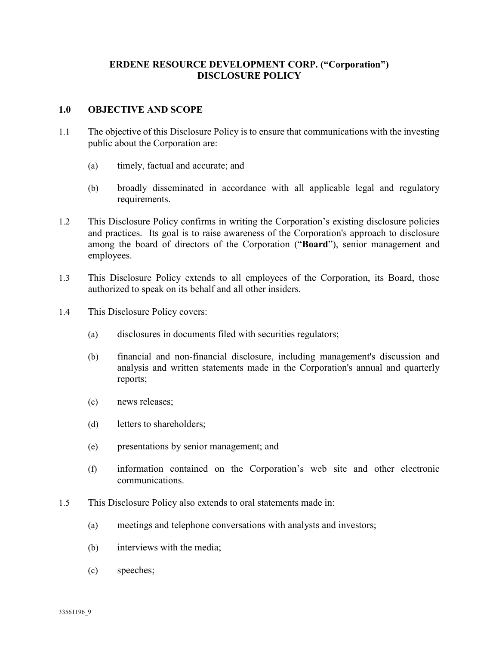# ERDENE RESOURCE DEVELOPMENT CORP. ("Corporation") DISCLOSURE POLICY

#### 1.0 OBJECTIVE AND SCOPE

- 1.1 The objective of this Disclosure Policy is to ensure that communications with the investing public about the Corporation are:
	- (a) timely, factual and accurate; and
	- (b) broadly disseminated in accordance with all applicable legal and regulatory requirements.
- 1.2 This Disclosure Policy confirms in writing the Corporation's existing disclosure policies and practices. Its goal is to raise awareness of the Corporation's approach to disclosure among the board of directors of the Corporation ("Board"), senior management and employees.
- 1.3 This Disclosure Policy extends to all employees of the Corporation, its Board, those authorized to speak on its behalf and all other insiders.
- 1.4 This Disclosure Policy covers:
	- (a) disclosures in documents filed with securities regulators;
	- (b) financial and non-financial disclosure, including management's discussion and analysis and written statements made in the Corporation's annual and quarterly reports;
	- (c) news releases;
	- (d) letters to shareholders;
	- (e) presentations by senior management; and
	- (f) information contained on the Corporation's web site and other electronic communications.
- 1.5 This Disclosure Policy also extends to oral statements made in:
	- (a) meetings and telephone conversations with analysts and investors;
	- (b) interviews with the media;
	- (c) speeches;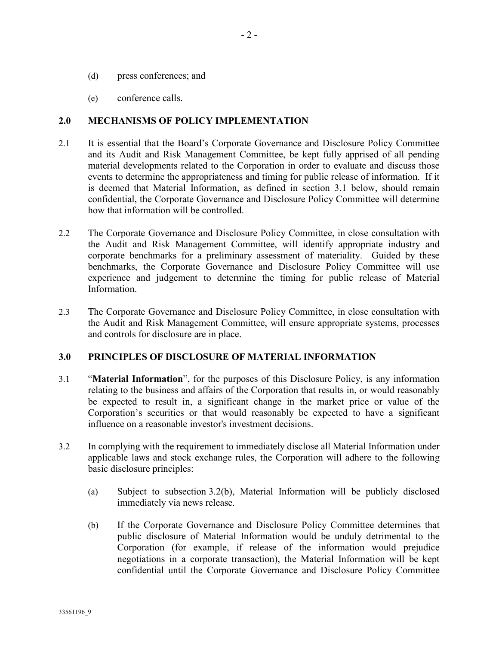- (d) press conferences; and
- (e) conference calls.

#### 2.0 MECHANISMS OF POLICY IMPLEMENTATION

- 2.1 It is essential that the Board's Corporate Governance and Disclosure Policy Committee and its Audit and Risk Management Committee, be kept fully apprised of all pending material developments related to the Corporation in order to evaluate and discuss those events to determine the appropriateness and timing for public release of information. If it is deemed that Material Information, as defined in section 3.1 below, should remain confidential, the Corporate Governance and Disclosure Policy Committee will determine how that information will be controlled.
- 2.2 The Corporate Governance and Disclosure Policy Committee, in close consultation with the Audit and Risk Management Committee, will identify appropriate industry and corporate benchmarks for a preliminary assessment of materiality. Guided by these benchmarks, the Corporate Governance and Disclosure Policy Committee will use experience and judgement to determine the timing for public release of Material Information.
- 2.3 The Corporate Governance and Disclosure Policy Committee, in close consultation with the Audit and Risk Management Committee, will ensure appropriate systems, processes and controls for disclosure are in place.

## 3.0 PRINCIPLES OF DISCLOSURE OF MATERIAL INFORMATION

- 3.1 "Material Information", for the purposes of this Disclosure Policy, is any information relating to the business and affairs of the Corporation that results in, or would reasonably be expected to result in, a significant change in the market price or value of the Corporation's securities or that would reasonably be expected to have a significant influence on a reasonable investor's investment decisions.
- 3.2 In complying with the requirement to immediately disclose all Material Information under applicable laws and stock exchange rules, the Corporation will adhere to the following basic disclosure principles:
	- (a) Subject to subsection 3.2(b), Material Information will be publicly disclosed immediately via news release.
	- (b) If the Corporate Governance and Disclosure Policy Committee determines that public disclosure of Material Information would be unduly detrimental to the Corporation (for example, if release of the information would prejudice negotiations in a corporate transaction), the Material Information will be kept confidential until the Corporate Governance and Disclosure Policy Committee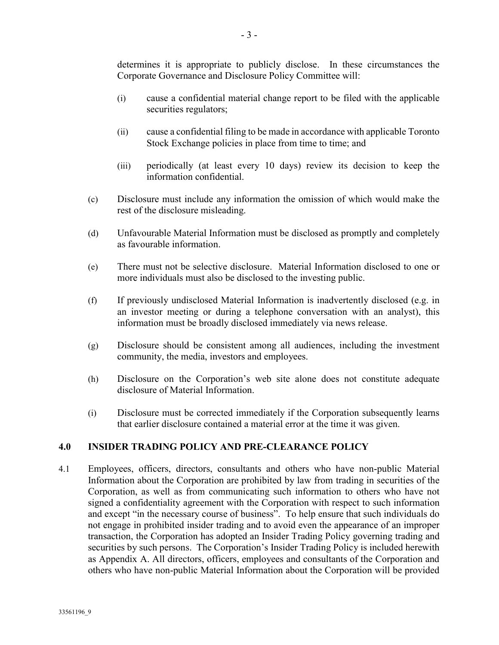determines it is appropriate to publicly disclose. In these circumstances the Corporate Governance and Disclosure Policy Committee will:

- (i) cause a confidential material change report to be filed with the applicable securities regulators;
- (ii) cause a confidential filing to be made in accordance with applicable Toronto Stock Exchange policies in place from time to time; and
- (iii) periodically (at least every 10 days) review its decision to keep the information confidential.
- (c) Disclosure must include any information the omission of which would make the rest of the disclosure misleading.
- (d) Unfavourable Material Information must be disclosed as promptly and completely as favourable information.
- (e) There must not be selective disclosure. Material Information disclosed to one or more individuals must also be disclosed to the investing public.
- (f) If previously undisclosed Material Information is inadvertently disclosed (e.g. in an investor meeting or during a telephone conversation with an analyst), this information must be broadly disclosed immediately via news release.
- (g) Disclosure should be consistent among all audiences, including the investment community, the media, investors and employees.
- (h) Disclosure on the Corporation's web site alone does not constitute adequate disclosure of Material Information.
- (i) Disclosure must be corrected immediately if the Corporation subsequently learns that earlier disclosure contained a material error at the time it was given.

## 4.0 INSIDER TRADING POLICY AND PRE-CLEARANCE POLICY

4.1 Employees, officers, directors, consultants and others who have non-public Material Information about the Corporation are prohibited by law from trading in securities of the Corporation, as well as from communicating such information to others who have not signed a confidentiality agreement with the Corporation with respect to such information and except "in the necessary course of business". To help ensure that such individuals do not engage in prohibited insider trading and to avoid even the appearance of an improper transaction, the Corporation has adopted an Insider Trading Policy governing trading and securities by such persons. The Corporation's Insider Trading Policy is included herewith as Appendix A. All directors, officers, employees and consultants of the Corporation and others who have non-public Material Information about the Corporation will be provided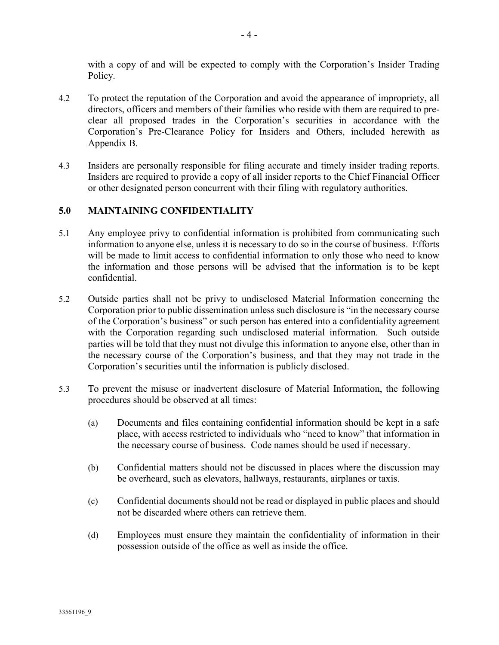with a copy of and will be expected to comply with the Corporation's Insider Trading Policy.

- 4.2 To protect the reputation of the Corporation and avoid the appearance of impropriety, all directors, officers and members of their families who reside with them are required to preclear all proposed trades in the Corporation's securities in accordance with the Corporation's Pre-Clearance Policy for Insiders and Others, included herewith as Appendix B.
- 4.3 Insiders are personally responsible for filing accurate and timely insider trading reports. Insiders are required to provide a copy of all insider reports to the Chief Financial Officer or other designated person concurrent with their filing with regulatory authorities.

# 5.0 MAINTAINING CONFIDENTIALITY

- 5.1 Any employee privy to confidential information is prohibited from communicating such information to anyone else, unless it is necessary to do so in the course of business. Efforts will be made to limit access to confidential information to only those who need to know the information and those persons will be advised that the information is to be kept confidential.
- 5.2 Outside parties shall not be privy to undisclosed Material Information concerning the Corporation prior to public dissemination unless such disclosure is "in the necessary course of the Corporation's business" or such person has entered into a confidentiality agreement with the Corporation regarding such undisclosed material information. Such outside parties will be told that they must not divulge this information to anyone else, other than in the necessary course of the Corporation's business, and that they may not trade in the Corporation's securities until the information is publicly disclosed.
- 5.3 To prevent the misuse or inadvertent disclosure of Material Information, the following procedures should be observed at all times:
	- (a) Documents and files containing confidential information should be kept in a safe place, with access restricted to individuals who "need to know" that information in the necessary course of business. Code names should be used if necessary.
	- (b) Confidential matters should not be discussed in places where the discussion may be overheard, such as elevators, hallways, restaurants, airplanes or taxis.
	- (c) Confidential documents should not be read or displayed in public places and should not be discarded where others can retrieve them.
	- (d) Employees must ensure they maintain the confidentiality of information in their possession outside of the office as well as inside the office.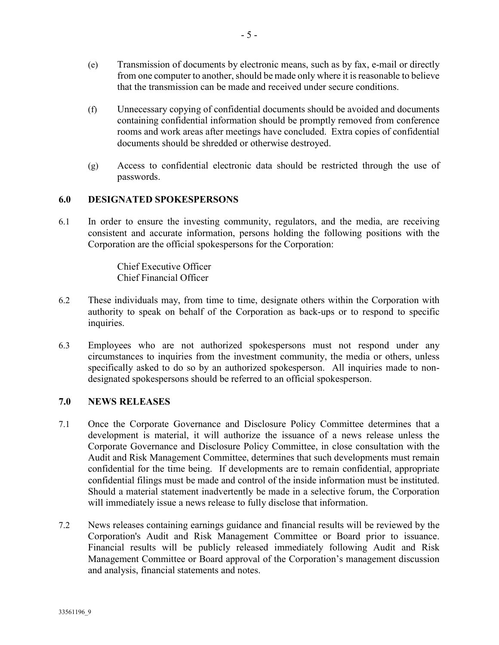- (e) Transmission of documents by electronic means, such as by fax, e-mail or directly from one computer to another, should be made only where it is reasonable to believe that the transmission can be made and received under secure conditions.
- (f) Unnecessary copying of confidential documents should be avoided and documents containing confidential information should be promptly removed from conference rooms and work areas after meetings have concluded. Extra copies of confidential documents should be shredded or otherwise destroyed.
- (g) Access to confidential electronic data should be restricted through the use of passwords.

#### 6.0 DESIGNATED SPOKESPERSONS

6.1 In order to ensure the investing community, regulators, and the media, are receiving consistent and accurate information, persons holding the following positions with the Corporation are the official spokespersons for the Corporation:

> Chief Executive Officer Chief Financial Officer

- 6.2 These individuals may, from time to time, designate others within the Corporation with authority to speak on behalf of the Corporation as back-ups or to respond to specific inquiries.
- 6.3 Employees who are not authorized spokespersons must not respond under any circumstances to inquiries from the investment community, the media or others, unless specifically asked to do so by an authorized spokesperson. All inquiries made to nondesignated spokespersons should be referred to an official spokesperson.

#### 7.0 NEWS RELEASES

- 7.1 Once the Corporate Governance and Disclosure Policy Committee determines that a development is material, it will authorize the issuance of a news release unless the Corporate Governance and Disclosure Policy Committee, in close consultation with the Audit and Risk Management Committee, determines that such developments must remain confidential for the time being. If developments are to remain confidential, appropriate confidential filings must be made and control of the inside information must be instituted. Should a material statement inadvertently be made in a selective forum, the Corporation will immediately issue a news release to fully disclose that information.
- 7.2 News releases containing earnings guidance and financial results will be reviewed by the Corporation's Audit and Risk Management Committee or Board prior to issuance. Financial results will be publicly released immediately following Audit and Risk Management Committee or Board approval of the Corporation's management discussion and analysis, financial statements and notes.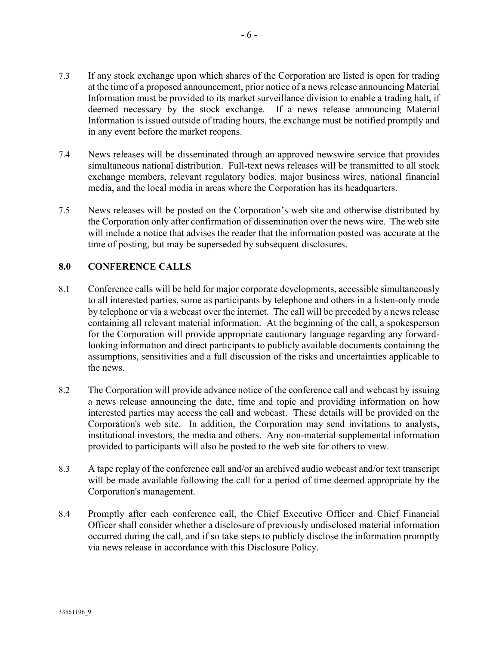- 7.3 If any stock exchange upon which shares of the Corporation are listed is open for trading at the time of a proposed announcement, prior notice of a news release announcing Material Information must be provided to its market surveillance division to enable a trading halt, if deemed necessary by the stock exchange. If a news release announcing Material Information is issued outside of trading hours, the exchange must be notified promptly and in any event before the market reopens.
- 7.4 News releases will be disseminated through an approved newswire service that provides simultaneous national distribution. Full-text news releases will be transmitted to all stock exchange members, relevant regulatory bodies, major business wires, national financial media, and the local media in areas where the Corporation has its headquarters.
- 7.5 News releases will be posted on the Corporation's web site and otherwise distributed by the Corporation only after confirmation of dissemination over the news wire. The web site will include a notice that advises the reader that the information posted was accurate at the time of posting, but may be superseded by subsequent disclosures.

# 8.0 CONFERENCE CALLS

- 8.1 Conference calls will be held for major corporate developments, accessible simultaneously to all interested parties, some as participants by telephone and others in a listen-only mode by telephone or via a webcast over the internet. The call will be preceded by a news release containing all relevant material information. At the beginning of the call, a spokesperson for the Corporation will provide appropriate cautionary language regarding any forwardlooking information and direct participants to publicly available documents containing the assumptions, sensitivities and a full discussion of the risks and uncertainties applicable to the news.
- 8.2 The Corporation will provide advance notice of the conference call and webcast by issuing a news release announcing the date, time and topic and providing information on how interested parties may access the call and webcast. These details will be provided on the Corporation's web site. In addition, the Corporation may send invitations to analysts, institutional investors, the media and others. Any non-material supplemental information provided to participants will also be posted to the web site for others to view.
- 8.3 A tape replay of the conference call and/or an archived audio webcast and/or text transcript will be made available following the call for a period of time deemed appropriate by the Corporation's management.
- 8.4 Promptly after each conference call, the Chief Executive Officer and Chief Financial Officer shall consider whether a disclosure of previously undisclosed material information occurred during the call, and if so take steps to publicly disclose the information promptly via news release in accordance with this Disclosure Policy.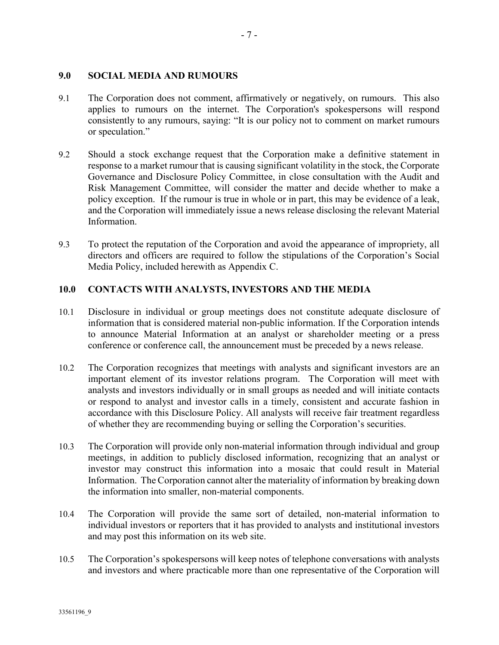#### 9.0 SOCIAL MEDIA AND RUMOURS

- 9.1 The Corporation does not comment, affirmatively or negatively, on rumours. This also applies to rumours on the internet. The Corporation's spokespersons will respond consistently to any rumours, saying: "It is our policy not to comment on market rumours or speculation."
- 9.2 Should a stock exchange request that the Corporation make a definitive statement in response to a market rumour that is causing significant volatility in the stock, the Corporate Governance and Disclosure Policy Committee, in close consultation with the Audit and Risk Management Committee, will consider the matter and decide whether to make a policy exception. If the rumour is true in whole or in part, this may be evidence of a leak, and the Corporation will immediately issue a news release disclosing the relevant Material Information.
- 9.3 To protect the reputation of the Corporation and avoid the appearance of impropriety, all directors and officers are required to follow the stipulations of the Corporation's Social Media Policy, included herewith as Appendix C.

# 10.0 CONTACTS WITH ANALYSTS, INVESTORS AND THE MEDIA

- 10.1 Disclosure in individual or group meetings does not constitute adequate disclosure of information that is considered material non-public information. If the Corporation intends to announce Material Information at an analyst or shareholder meeting or a press conference or conference call, the announcement must be preceded by a news release.
- 10.2 The Corporation recognizes that meetings with analysts and significant investors are an important element of its investor relations program. The Corporation will meet with analysts and investors individually or in small groups as needed and will initiate contacts or respond to analyst and investor calls in a timely, consistent and accurate fashion in accordance with this Disclosure Policy. All analysts will receive fair treatment regardless of whether they are recommending buying or selling the Corporation's securities.
- 10.3 The Corporation will provide only non-material information through individual and group meetings, in addition to publicly disclosed information, recognizing that an analyst or investor may construct this information into a mosaic that could result in Material Information. The Corporation cannot alter the materiality of information by breaking down the information into smaller, non-material components.
- 10.4 The Corporation will provide the same sort of detailed, non-material information to individual investors or reporters that it has provided to analysts and institutional investors and may post this information on its web site.
- 10.5 The Corporation's spokespersons will keep notes of telephone conversations with analysts and investors and where practicable more than one representative of the Corporation will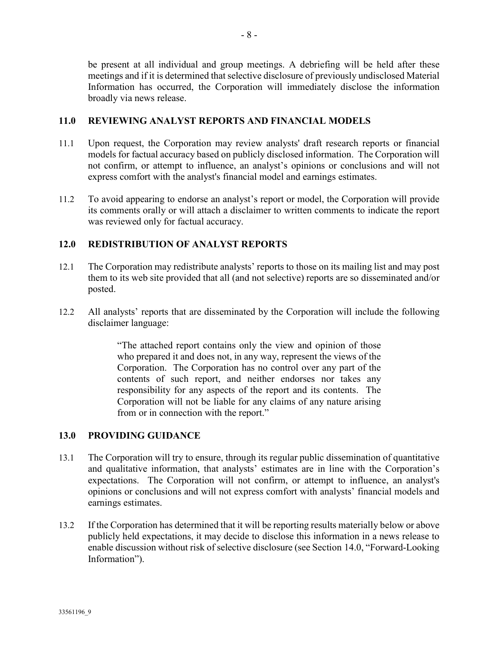be present at all individual and group meetings. A debriefing will be held after these meetings and if it is determined that selective disclosure of previously undisclosed Material Information has occurred, the Corporation will immediately disclose the information broadly via news release.

# 11.0 REVIEWING ANALYST REPORTS AND FINANCIAL MODELS

- 11.1 Upon request, the Corporation may review analysts' draft research reports or financial models for factual accuracy based on publicly disclosed information. The Corporation will not confirm, or attempt to influence, an analyst's opinions or conclusions and will not express comfort with the analyst's financial model and earnings estimates.
- 11.2 To avoid appearing to endorse an analyst's report or model, the Corporation will provide its comments orally or will attach a disclaimer to written comments to indicate the report was reviewed only for factual accuracy.

# 12.0 REDISTRIBUTION OF ANALYST REPORTS

- 12.1 The Corporation may redistribute analysts' reports to those on its mailing list and may post them to its web site provided that all (and not selective) reports are so disseminated and/or posted.
- 12.2 All analysts' reports that are disseminated by the Corporation will include the following disclaimer language:

"The attached report contains only the view and opinion of those who prepared it and does not, in any way, represent the views of the Corporation. The Corporation has no control over any part of the contents of such report, and neither endorses nor takes any responsibility for any aspects of the report and its contents. The Corporation will not be liable for any claims of any nature arising from or in connection with the report."

## 13.0 PROVIDING GUIDANCE

- 13.1 The Corporation will try to ensure, through its regular public dissemination of quantitative and qualitative information, that analysts' estimates are in line with the Corporation's expectations. The Corporation will not confirm, or attempt to influence, an analyst's opinions or conclusions and will not express comfort with analysts' financial models and earnings estimates.
- 13.2 If the Corporation has determined that it will be reporting results materially below or above publicly held expectations, it may decide to disclose this information in a news release to enable discussion without risk of selective disclosure (see Section 14.0, "Forward-Looking Information").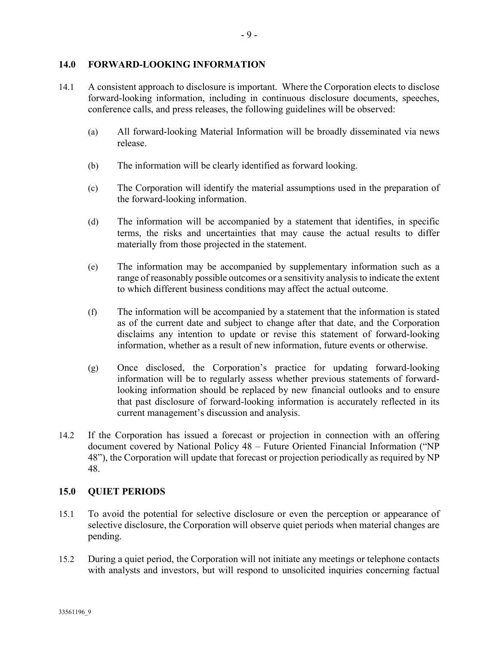#### 14.0 FORWARD-LOOKING INFORMATION

- 14.1 A consistent approach to disclosure is important. Where the Corporation elects to disclose forward-looking information, including in continuous disclosure documents, speeches, conference calls, and press releases, the following guidelines will be observed:
	- (a) All forward-looking Material Information will be broadly disseminated via news release.
	- (b) The information will be clearly identified as forward looking.
	- (c) The Corporation will identify the material assumptions used in the preparation of the forward-looking information.
	- (d) The information will be accompanied by a statement that identifies, in specific terms, the risks and uncertainties that may cause the actual results to differ materially from those projected in the statement.
	- (e) The information may be accompanied by supplementary information such as a range of reasonably possible outcomes or a sensitivity analysis to indicate the extent to which different business conditions may affect the actual outcome.
	- (f) The information will be accompanied by a statement that the information is stated as of the current date and subject to change after that date, and the Corporation disclaims any intention to update or revise this statement of forward-looking information, whether as a result of new information, future events or otherwise.
	- (g) Once disclosed, the Corporation's practice for updating forward-looking information will be to regularly assess whether previous statements of forwardlooking information should be replaced by new financial outlooks and to ensure that past disclosure of forward-looking information is accurately reflected in its current management's discussion and analysis.
- 14.2 If the Corporation has issued a forecast or projection in connection with an offering document covered by National Policy 48 – Future Oriented Financial Information ("NP 48"), the Corporation will update that forecast or projection periodically as required by NP 48.

## 15.0 QUIET PERIODS

- 15.1 To avoid the potential for selective disclosure or even the perception or appearance of selective disclosure, the Corporation will observe quiet periods when material changes are pending.
- 15.2 During a quiet period, the Corporation will not initiate any meetings or telephone contacts with analysts and investors, but will respond to unsolicited inquiries concerning factual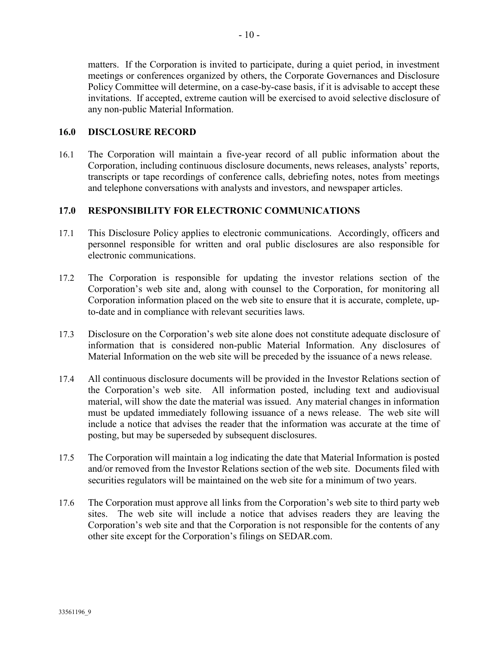matters. If the Corporation is invited to participate, during a quiet period, in investment meetings or conferences organized by others, the Corporate Governances and Disclosure Policy Committee will determine, on a case-by-case basis, if it is advisable to accept these invitations. If accepted, extreme caution will be exercised to avoid selective disclosure of any non-public Material Information.

#### 16.0 DISCLOSURE RECORD

16.1 The Corporation will maintain a five-year record of all public information about the Corporation, including continuous disclosure documents, news releases, analysts' reports, transcripts or tape recordings of conference calls, debriefing notes, notes from meetings and telephone conversations with analysts and investors, and newspaper articles.

## 17.0 RESPONSIBILITY FOR ELECTRONIC COMMUNICATIONS

- 17.1 This Disclosure Policy applies to electronic communications. Accordingly, officers and personnel responsible for written and oral public disclosures are also responsible for electronic communications.
- 17.2 The Corporation is responsible for updating the investor relations section of the Corporation's web site and, along with counsel to the Corporation, for monitoring all Corporation information placed on the web site to ensure that it is accurate, complete, upto-date and in compliance with relevant securities laws.
- 17.3 Disclosure on the Corporation's web site alone does not constitute adequate disclosure of information that is considered non-public Material Information. Any disclosures of Material Information on the web site will be preceded by the issuance of a news release.
- 17.4 All continuous disclosure documents will be provided in the Investor Relations section of the Corporation's web site. All information posted, including text and audiovisual material, will show the date the material was issued. Any material changes in information must be updated immediately following issuance of a news release. The web site will include a notice that advises the reader that the information was accurate at the time of posting, but may be superseded by subsequent disclosures.
- 17.5 The Corporation will maintain a log indicating the date that Material Information is posted and/or removed from the Investor Relations section of the web site. Documents filed with securities regulators will be maintained on the web site for a minimum of two years.
- 17.6 The Corporation must approve all links from the Corporation's web site to third party web sites. The web site will include a notice that advises readers they are leaving the Corporation's web site and that the Corporation is not responsible for the contents of any other site except for the Corporation's filings on SEDAR.com.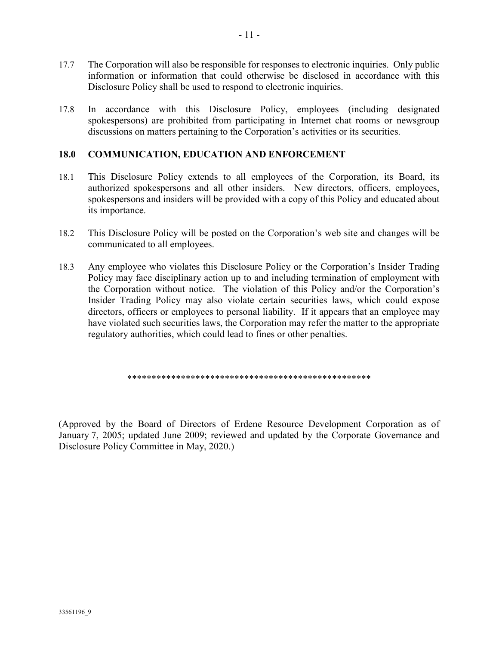- 17.7 The Corporation will also be responsible for responses to electronic inquiries. Only public information or information that could otherwise be disclosed in accordance with this Disclosure Policy shall be used to respond to electronic inquiries.
- 17.8 In accordance with this Disclosure Policy, employees (including designated spokespersons) are prohibited from participating in Internet chat rooms or newsgroup discussions on matters pertaining to the Corporation's activities or its securities.

# 18.0 COMMUNICATION, EDUCATION AND ENFORCEMENT

- 18.1 This Disclosure Policy extends to all employees of the Corporation, its Board, its authorized spokespersons and all other insiders. New directors, officers, employees, spokespersons and insiders will be provided with a copy of this Policy and educated about its importance.
- 18.2 This Disclosure Policy will be posted on the Corporation's web site and changes will be communicated to all employees.
- 18.3 Any employee who violates this Disclosure Policy or the Corporation's Insider Trading Policy may face disciplinary action up to and including termination of employment with the Corporation without notice. The violation of this Policy and/or the Corporation's Insider Trading Policy may also violate certain securities laws, which could expose directors, officers or employees to personal liability. If it appears that an employee may have violated such securities laws, the Corporation may refer the matter to the appropriate regulatory authorities, which could lead to fines or other penalties.

\*\*\*\*\*\*\*\*\*\*\*\*\*\*\*\*\*\*\*\*\*\*\*\*\*\*\*\*\*\*\*\*\*\*\*\*\*\*\*\*\*\*\*\*\*\*\*\*\*\*

(Approved by the Board of Directors of Erdene Resource Development Corporation as of January 7, 2005; updated June 2009; reviewed and updated by the Corporate Governance and Disclosure Policy Committee in May, 2020.)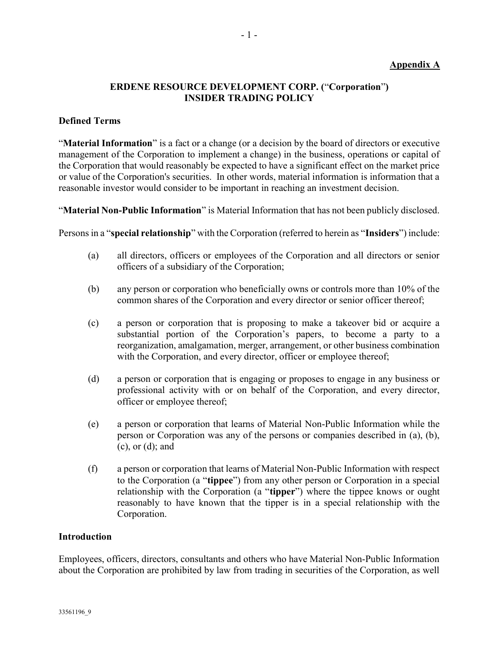## Appendix A

# ERDENE RESOURCE DEVELOPMENT CORP. ("Corporation") INSIDER TRADING POLICY

## Defined Terms

"Material Information" is a fact or a change (or a decision by the board of directors or executive management of the Corporation to implement a change) in the business, operations or capital of the Corporation that would reasonably be expected to have a significant effect on the market price or value of the Corporation's securities. In other words, material information is information that a reasonable investor would consider to be important in reaching an investment decision.

"Material Non-Public Information" is Material Information that has not been publicly disclosed.

Persons in a "special relationship" with the Corporation (referred to herein as "Insiders") include:

- (a) all directors, officers or employees of the Corporation and all directors or senior officers of a subsidiary of the Corporation;
- (b) any person or corporation who beneficially owns or controls more than 10% of the common shares of the Corporation and every director or senior officer thereof;
- (c) a person or corporation that is proposing to make a takeover bid or acquire a substantial portion of the Corporation's papers, to become a party to a reorganization, amalgamation, merger, arrangement, or other business combination with the Corporation, and every director, officer or employee thereof;
- (d) a person or corporation that is engaging or proposes to engage in any business or professional activity with or on behalf of the Corporation, and every director, officer or employee thereof;
- (e) a person or corporation that learns of Material Non-Public Information while the person or Corporation was any of the persons or companies described in (a), (b), (c), or (d); and
- (f) a person or corporation that learns of Material Non-Public Information with respect to the Corporation (a "tippee") from any other person or Corporation in a special relationship with the Corporation (a "tipper") where the tippee knows or ought reasonably to have known that the tipper is in a special relationship with the Corporation.

#### Introduction

Employees, officers, directors, consultants and others who have Material Non-Public Information about the Corporation are prohibited by law from trading in securities of the Corporation, as well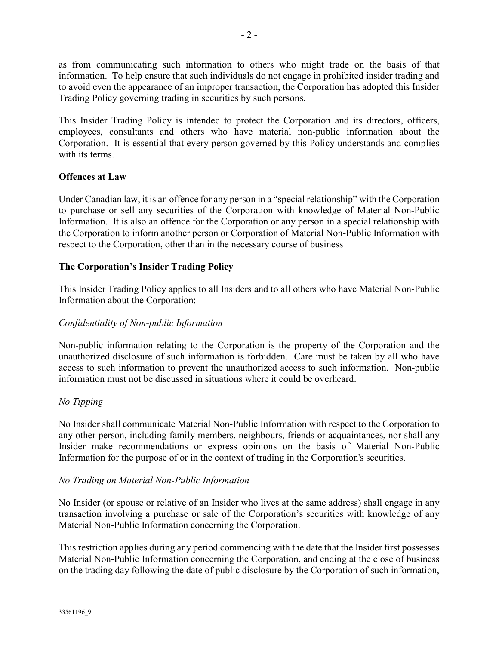as from communicating such information to others who might trade on the basis of that information. To help ensure that such individuals do not engage in prohibited insider trading and to avoid even the appearance of an improper transaction, the Corporation has adopted this Insider Trading Policy governing trading in securities by such persons.

This Insider Trading Policy is intended to protect the Corporation and its directors, officers, employees, consultants and others who have material non-public information about the Corporation. It is essential that every person governed by this Policy understands and complies with its terms.

## Offences at Law

Under Canadian law, it is an offence for any person in a "special relationship" with the Corporation to purchase or sell any securities of the Corporation with knowledge of Material Non-Public Information. It is also an offence for the Corporation or any person in a special relationship with the Corporation to inform another person or Corporation of Material Non-Public Information with respect to the Corporation, other than in the necessary course of business

## The Corporation's Insider Trading Policy

This Insider Trading Policy applies to all Insiders and to all others who have Material Non-Public Information about the Corporation:

#### Confidentiality of Non-public Information

Non-public information relating to the Corporation is the property of the Corporation and the unauthorized disclosure of such information is forbidden. Care must be taken by all who have access to such information to prevent the unauthorized access to such information. Non-public information must not be discussed in situations where it could be overheard.

## No Tipping

No Insider shall communicate Material Non-Public Information with respect to the Corporation to any other person, including family members, neighbours, friends or acquaintances, nor shall any Insider make recommendations or express opinions on the basis of Material Non-Public Information for the purpose of or in the context of trading in the Corporation's securities.

#### No Trading on Material Non-Public Information

No Insider (or spouse or relative of an Insider who lives at the same address) shall engage in any transaction involving a purchase or sale of the Corporation's securities with knowledge of any Material Non-Public Information concerning the Corporation.

This restriction applies during any period commencing with the date that the Insider first possesses Material Non-Public Information concerning the Corporation, and ending at the close of business on the trading day following the date of public disclosure by the Corporation of such information,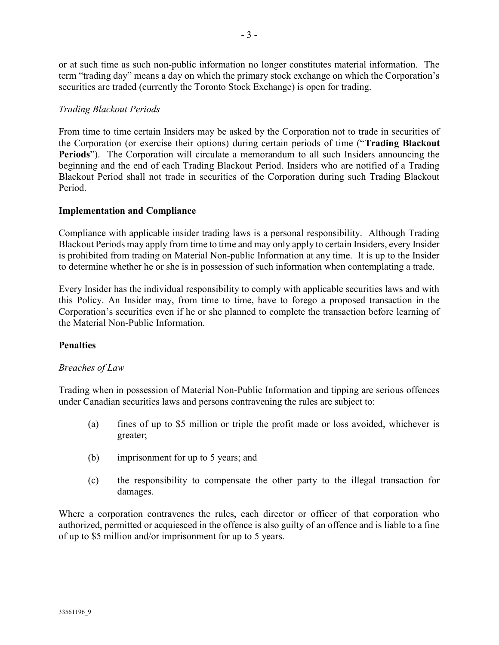or at such time as such non-public information no longer constitutes material information. The term "trading day" means a day on which the primary stock exchange on which the Corporation's securities are traded (currently the Toronto Stock Exchange) is open for trading.

# Trading Blackout Periods

From time to time certain Insiders may be asked by the Corporation not to trade in securities of the Corporation (or exercise their options) during certain periods of time ("Trading Blackout Periods"). The Corporation will circulate a memorandum to all such Insiders announcing the beginning and the end of each Trading Blackout Period. Insiders who are notified of a Trading Blackout Period shall not trade in securities of the Corporation during such Trading Blackout Period.

## Implementation and Compliance

Compliance with applicable insider trading laws is a personal responsibility. Although Trading Blackout Periods may apply from time to time and may only apply to certain Insiders, every Insider is prohibited from trading on Material Non-public Information at any time. It is up to the Insider to determine whether he or she is in possession of such information when contemplating a trade.

Every Insider has the individual responsibility to comply with applicable securities laws and with this Policy. An Insider may, from time to time, have to forego a proposed transaction in the Corporation's securities even if he or she planned to complete the transaction before learning of the Material Non-Public Information.

## **Penalties**

## Breaches of Law

Trading when in possession of Material Non-Public Information and tipping are serious offences under Canadian securities laws and persons contravening the rules are subject to:

- (a) fines of up to \$5 million or triple the profit made or loss avoided, whichever is greater;
- (b) imprisonment for up to 5 years; and
- (c) the responsibility to compensate the other party to the illegal transaction for damages.

Where a corporation contravenes the rules, each director or officer of that corporation who authorized, permitted or acquiesced in the offence is also guilty of an offence and is liable to a fine of up to \$5 million and/or imprisonment for up to 5 years.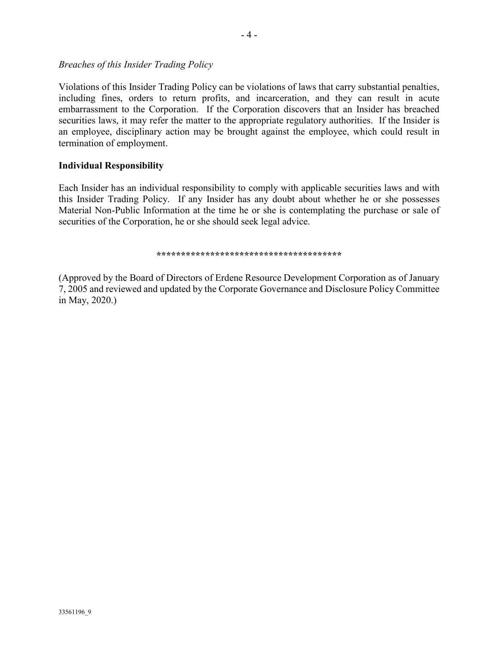Breaches of this Insider Trading Policy

Violations of this Insider Trading Policy can be violations of laws that carry substantial penalties, including fines, orders to return profits, and incarceration, and they can result in acute embarrassment to the Corporation. If the Corporation discovers that an Insider has breached securities laws, it may refer the matter to the appropriate regulatory authorities. If the Insider is an employee, disciplinary action may be brought against the employee, which could result in termination of employment.

## Individual Responsibility

Each Insider has an individual responsibility to comply with applicable securities laws and with this Insider Trading Policy. If any Insider has any doubt about whether he or she possesses Material Non-Public Information at the time he or she is contemplating the purchase or sale of securities of the Corporation, he or she should seek legal advice.

\*\*\*\*\*\*\*\*\*\*\*\*\*\*\*\*\*\*\*\*\*\*\*\*\*\*\*\*\*\*\*\*\*\*\*\*\*\*

(Approved by the Board of Directors of Erdene Resource Development Corporation as of January 7, 2005 and reviewed and updated by the Corporate Governance and Disclosure Policy Committee in May, 2020.)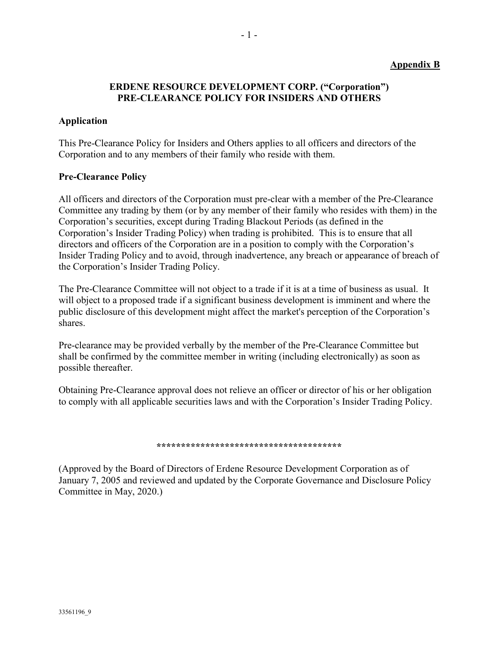#### Appendix B

## ERDENE RESOURCE DEVELOPMENT CORP. ("Corporation") PRE-CLEARANCE POLICY FOR INSIDERS AND OTHERS

- 1 -

#### Application

This Pre-Clearance Policy for Insiders and Others applies to all officers and directors of the Corporation and to any members of their family who reside with them.

#### Pre-Clearance Policy

All officers and directors of the Corporation must pre-clear with a member of the Pre-Clearance Committee any trading by them (or by any member of their family who resides with them) in the Corporation's securities, except during Trading Blackout Periods (as defined in the Corporation's Insider Trading Policy) when trading is prohibited. This is to ensure that all directors and officers of the Corporation are in a position to comply with the Corporation's Insider Trading Policy and to avoid, through inadvertence, any breach or appearance of breach of the Corporation's Insider Trading Policy.

The Pre-Clearance Committee will not object to a trade if it is at a time of business as usual. It will object to a proposed trade if a significant business development is imminent and where the public disclosure of this development might affect the market's perception of the Corporation's shares.

Pre-clearance may be provided verbally by the member of the Pre-Clearance Committee but shall be confirmed by the committee member in writing (including electronically) as soon as possible thereafter.

Obtaining Pre-Clearance approval does not relieve an officer or director of his or her obligation to comply with all applicable securities laws and with the Corporation's Insider Trading Policy.

#### \*\*\*\*\*\*\*\*\*\*\*\*\*\*\*\*\*\*\*\*\*\*\*\*\*\*\*\*\*\*\*\*\*\*\*\*

(Approved by the Board of Directors of Erdene Resource Development Corporation as of January 7, 2005 and reviewed and updated by the Corporate Governance and Disclosure Policy Committee in May, 2020.)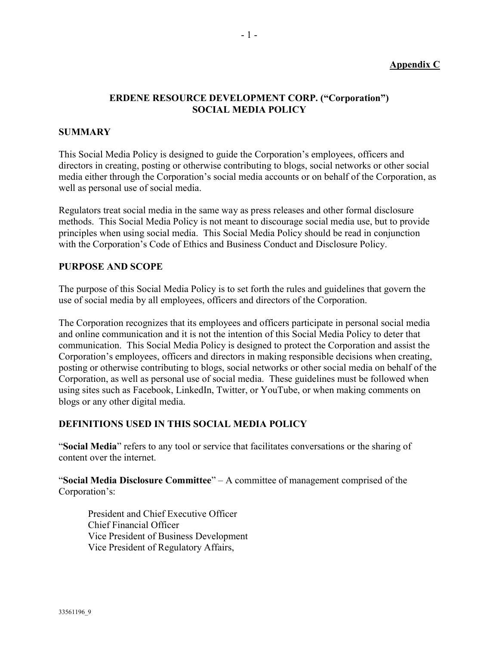## Appendix C

# ERDENE RESOURCE DEVELOPMENT CORP. ("Corporation") SOCIAL MEDIA POLICY

#### **SUMMARY**

This Social Media Policy is designed to guide the Corporation's employees, officers and directors in creating, posting or otherwise contributing to blogs, social networks or other social media either through the Corporation's social media accounts or on behalf of the Corporation, as well as personal use of social media.

Regulators treat social media in the same way as press releases and other formal disclosure methods. This Social Media Policy is not meant to discourage social media use, but to provide principles when using social media. This Social Media Policy should be read in conjunction with the Corporation's Code of Ethics and Business Conduct and Disclosure Policy.

#### PURPOSE AND SCOPE

The purpose of this Social Media Policy is to set forth the rules and guidelines that govern the use of social media by all employees, officers and directors of the Corporation.

The Corporation recognizes that its employees and officers participate in personal social media and online communication and it is not the intention of this Social Media Policy to deter that communication. This Social Media Policy is designed to protect the Corporation and assist the Corporation's employees, officers and directors in making responsible decisions when creating, posting or otherwise contributing to blogs, social networks or other social media on behalf of the Corporation, as well as personal use of social media. These guidelines must be followed when using sites such as Facebook, LinkedIn, Twitter, or YouTube, or when making comments on blogs or any other digital media.

#### DEFINITIONS USED IN THIS SOCIAL MEDIA POLICY

"Social Media" refers to any tool or service that facilitates conversations or the sharing of content over the internet.

"Social Media Disclosure Committee"  $-$  A committee of management comprised of the Corporation's:

President and Chief Executive Officer Chief Financial Officer Vice President of Business Development Vice President of Regulatory Affairs,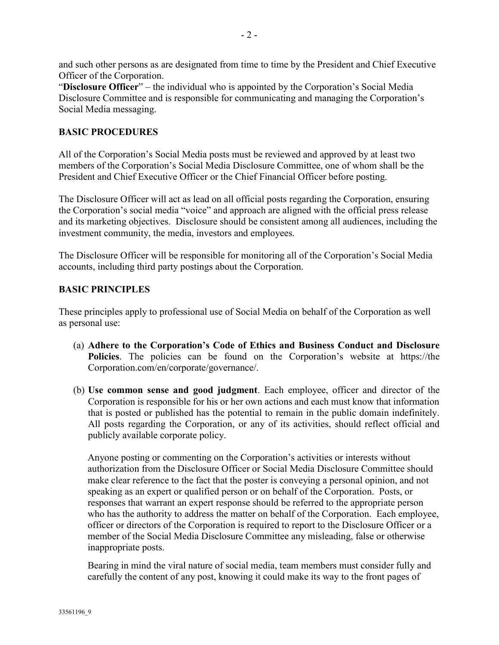and such other persons as are designated from time to time by the President and Chief Executive Officer of the Corporation.

"Disclosure Officer" – the individual who is appointed by the Corporation's Social Media Disclosure Committee and is responsible for communicating and managing the Corporation's Social Media messaging.

# BASIC PROCEDURES

All of the Corporation's Social Media posts must be reviewed and approved by at least two members of the Corporation's Social Media Disclosure Committee, one of whom shall be the President and Chief Executive Officer or the Chief Financial Officer before posting.

The Disclosure Officer will act as lead on all official posts regarding the Corporation, ensuring the Corporation's social media "voice" and approach are aligned with the official press release and its marketing objectives. Disclosure should be consistent among all audiences, including the investment community, the media, investors and employees.

The Disclosure Officer will be responsible for monitoring all of the Corporation's Social Media accounts, including third party postings about the Corporation.

# BASIC PRINCIPLES

These principles apply to professional use of Social Media on behalf of the Corporation as well as personal use:

- (a) Adhere to the Corporation's Code of Ethics and Business Conduct and Disclosure Policies. The policies can be found on the Corporation's website at https://the Corporation.com/en/corporate/governance/.
- (b) Use common sense and good judgment. Each employee, officer and director of the Corporation is responsible for his or her own actions and each must know that information that is posted or published has the potential to remain in the public domain indefinitely. All posts regarding the Corporation, or any of its activities, should reflect official and publicly available corporate policy.

Anyone posting or commenting on the Corporation's activities or interests without authorization from the Disclosure Officer or Social Media Disclosure Committee should make clear reference to the fact that the poster is conveying a personal opinion, and not speaking as an expert or qualified person or on behalf of the Corporation. Posts, or responses that warrant an expert response should be referred to the appropriate person who has the authority to address the matter on behalf of the Corporation. Each employee, officer or directors of the Corporation is required to report to the Disclosure Officer or a member of the Social Media Disclosure Committee any misleading, false or otherwise inappropriate posts.

Bearing in mind the viral nature of social media, team members must consider fully and carefully the content of any post, knowing it could make its way to the front pages of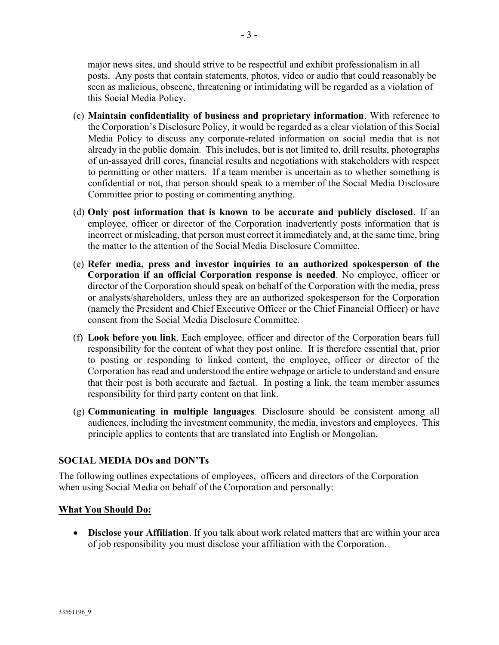major news sites, and should strive to be respectful and exhibit professionalism in all posts. Any posts that contain statements, photos, video or audio that could reasonably be seen as malicious, obscene, threatening or intimidating will be regarded as a violation of this Social Media Policy.

- (c) Maintain confidentiality of business and proprietary information. With reference to the Corporation's Disclosure Policy, it would be regarded as a clear violation of this Social Media Policy to discuss any corporate-related information on social media that is not already in the public domain. This includes, but is not limited to, drill results, photographs of un-assayed drill cores, financial results and negotiations with stakeholders with respect to permitting or other matters. If a team member is uncertain as to whether something is confidential or not, that person should speak to a member of the Social Media Disclosure Committee prior to posting or commenting anything.
- (d) Only post information that is known to be accurate and publicly disclosed. If an employee, officer or director of the Corporation inadvertently posts information that is incorrect or misleading, that person must correct it immediately and, at the same time, bring the matter to the attention of the Social Media Disclosure Committee.
- (e) Refer media, press and investor inquiries to an authorized spokesperson of the Corporation if an official Corporation response is needed. No employee, officer or director of the Corporation should speak on behalf of the Corporation with the media, press or analysts/shareholders, unless they are an authorized spokesperson for the Corporation (namely the President and Chief Executive Officer or the Chief Financial Officer) or have consent from the Social Media Disclosure Committee.
- (f) Look before you link. Each employee, officer and director of the Corporation bears full responsibility for the content of what they post online. It is therefore essential that, prior to posting or responding to linked content, the employee, officer or director of the Corporation has read and understood the entire webpage or article to understand and ensure that their post is both accurate and factual. In posting a link, the team member assumes responsibility for third party content on that link.
- (g) Communicating in multiple languages. Disclosure should be consistent among all audiences, including the investment community, the media, investors and employees. This principle applies to contents that are translated into English or Mongolian.

# SOCIAL MEDIA DOs and DON'Ts

The following outlines expectations of employees, officers and directors of the Corporation when using Social Media on behalf of the Corporation and personally:

## What You Should Do:

• Disclose your Affiliation. If you talk about work related matters that are within your area of job responsibility you must disclose your affiliation with the Corporation.